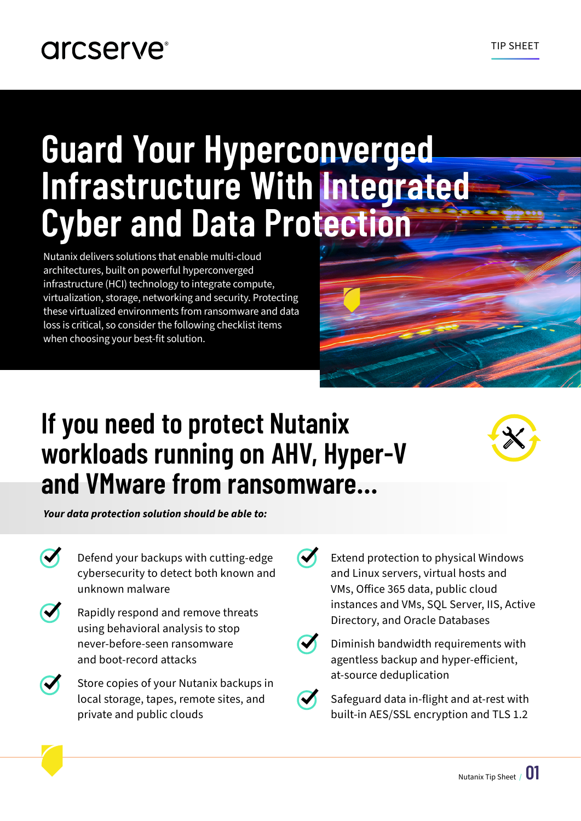# **Guard Your Hyperconverged Infrastructure With Integrated Cyber and Data Protection**

Nutanix delivers solutions that enable multi-cloud architectures, built on powerful hyperconverged infrastructure (HCI) technology to integrate compute, virtualization, storage, networking and security. Protecting these virtualized environments from ransomware and data loss is critical, so consider the following checklist items when choosing your best-fit solution.

# **If you need to protect Nutanix workloads running on AHV, Hyper-V and VMware from ransomware...**

*Your data protection solution should be able to:*

- Defend your backups with cutting-edge cybersecurity to detect both known and unknown malware
- Rapidly respond and remove threats using behavioral analysis to stop never-before-seen ransomware and boot-record attacks
	- Store copies of your Nutanix backups in local storage, tapes, remote sites, and private and public clouds

Extend protection to physical Windows and Linux servers, virtual hosts and VMs, Office 365 data, public cloud instances and VMs, SQL Server, IIS, Active Directory, and Oracle Databases



Diminish bandwidth requirements with agentless backup and hyper-efficient, at-source deduplication

Safeguard data in-flight and at-rest with built-in AES/SSL encryption and TLS 1.2

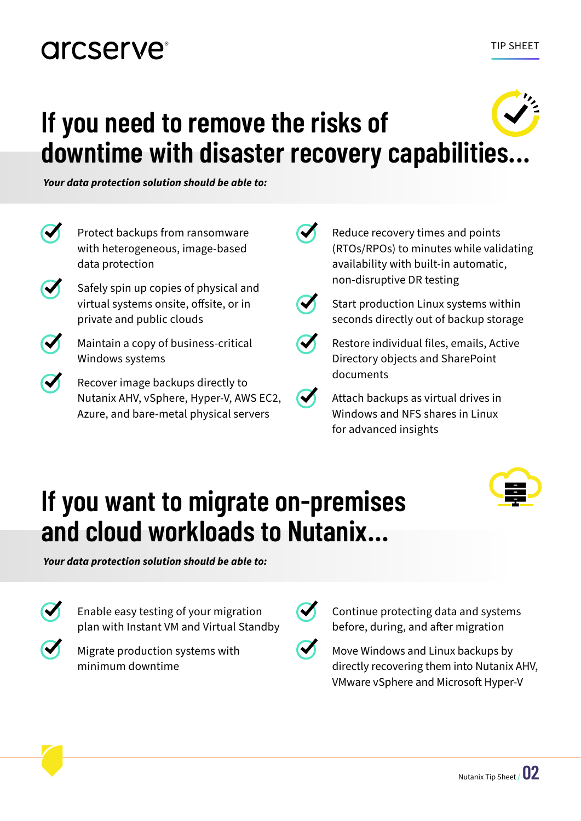### **arcserve**

# **If you need to remove the risks of downtime with disaster recovery capabilities...**

*Your data protection solution should be able to:*

| Protect backups from ransomware<br>with heterogeneous, image-based<br>data protection                        | Reduce recovery times and points<br>(RTOs/RPOs) to minutes while validating<br>availability with built-in automatic,<br>non-disruptive DR testing |
|--------------------------------------------------------------------------------------------------------------|---------------------------------------------------------------------------------------------------------------------------------------------------|
| Safely spin up copies of physical and<br>virtual systems onsite, offsite, or in<br>private and public clouds | Start production Linux systems within<br>seconds directly out of backup storage                                                                   |
| Maintain a copy of business-critical<br>Windows systems                                                      | Restore individual files, emails, Active<br>Directory objects and SharePoint                                                                      |
| Recover image backups directly to<br>Nutanix AHV, vSphere, Hyper-V, AWS EC2,                                 | documents<br>Attach backups as virtual drives in                                                                                                  |

 $\boldsymbol{\sigma}$ 

Attach backups as virtual drives in Windows and NFS shares in Linux for advanced insights

## **If you want to migrate on-premises and cloud workloads to Nutanix...**

*Your data protection solution should be able to:*

Enable easy testing of your migration plan with Instant VM and Virtual Standby

Azure, and bare-metal physical servers

Migrate production systems with minimum downtime

Continue protecting data and systems before, during, and after migration

Move Windows and Linux backups by directly recovering them into Nutanix AHV, VMware vSphere and Microsoft Hyper-V